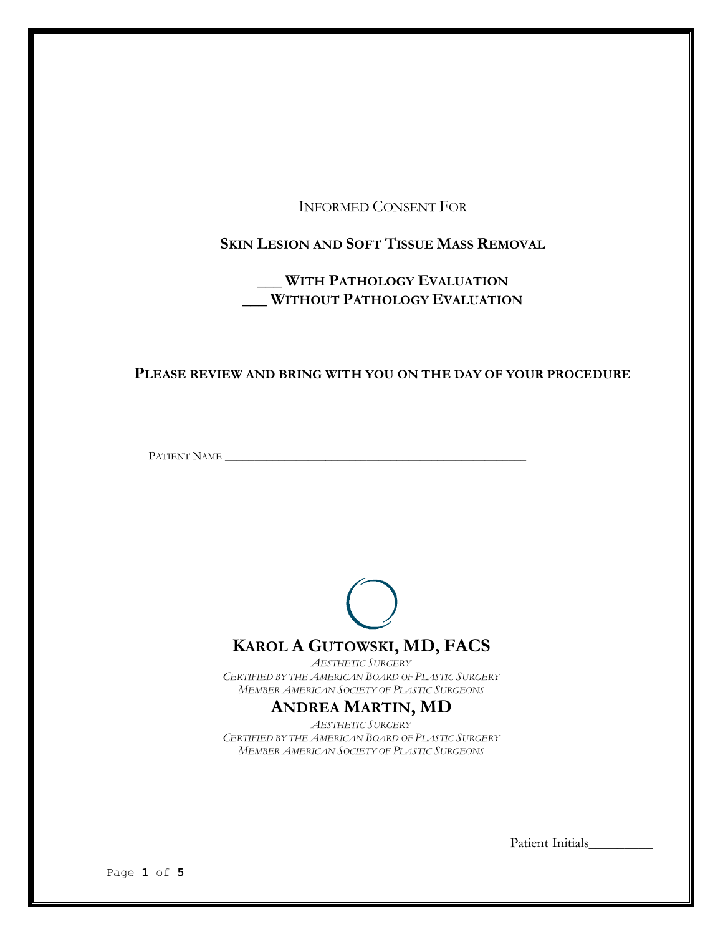INFORMED CONSENT FOR

# **SKIN LESION AND SOFT TISSUE MASS REMOVAL**

# \_\_\_ **WITH PATHOLOGY EVALUATION** \_\_\_ **WITHOUT PATHOLOGY EVALUATION**

#### **PLEASE REVIEW AND BRING WITH YOU ON THE DAY OF YOUR PROCEDURE**

PATIENT NAME

# **KAROL A GUTOWSKI, MD, FACS**

*AESTHETIC SURGERY CERTIFIED BY THE AMERICAN BOARD OF PLASTIC SURGERY MEMBER AMERICAN SOCIETY OF PLASTIC SURGEONS*

# **ANDREA MARTIN, MD**

*AESTHETIC SURGERY CERTIFIED BY THE AMERICAN BOARD OF PLASTIC SURGERY MEMBER AMERICAN SOCIETY OF PLASTIC SURGEONS*

Patient Initials

Page **1** of **5**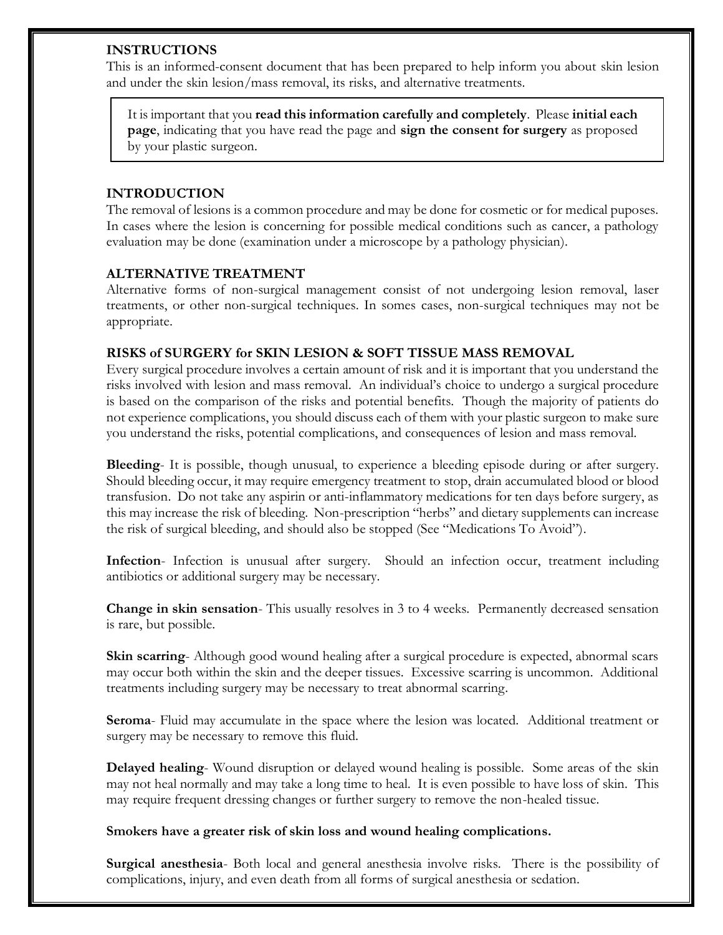#### **INSTRUCTIONS**

This is an informed-consent document that has been prepared to help inform you about skin lesion and under the skin lesion/mass removal, its risks, and alternative treatments.

It is important that you **read this information carefully and completely**. Please **initial each page**, indicating that you have read the page and **sign the consent for surgery** as proposed by your plastic surgeon.

#### **INTRODUCTION**

The removal of lesions is a common procedure and may be done for cosmetic or for medical puposes. In cases where the lesion is concerning for possible medical conditions such as cancer, a pathology evaluation may be done (examination under a microscope by a pathology physician).

#### **ALTERNATIVE TREATMENT**

Alternative forms of non-surgical management consist of not undergoing lesion removal, laser treatments, or other non-surgical techniques. In somes cases, non-surgical techniques may not be appropriate.

## **RISKS of SURGERY for SKIN LESION & SOFT TISSUE MASS REMOVAL**

Every surgical procedure involves a certain amount of risk and it is important that you understand the risks involved with lesion and mass removal. An individual's choice to undergo a surgical procedure is based on the comparison of the risks and potential benefits. Though the majority of patients do not experience complications, you should discuss each of them with your plastic surgeon to make sure you understand the risks, potential complications, and consequences of lesion and mass removal.

**Bleeding**- It is possible, though unusual, to experience a bleeding episode during or after surgery. Should bleeding occur, it may require emergency treatment to stop, drain accumulated blood or blood transfusion. Do not take any aspirin or anti-inflammatory medications for ten days before surgery, as this may increase the risk of bleeding. Non-prescription "herbs" and dietary supplements can increase the risk of surgical bleeding, and should also be stopped (See "Medications To Avoid").

**Infection**- Infection is unusual after surgery. Should an infection occur, treatment including antibiotics or additional surgery may be necessary.

**Change in skin sensation**- This usually resolves in 3 to 4 weeks. Permanently decreased sensation is rare, but possible.

**Skin scarring**- Although good wound healing after a surgical procedure is expected, abnormal scars may occur both within the skin and the deeper tissues. Excessive scarring is uncommon. Additional treatments including surgery may be necessary to treat abnormal scarring.

**Seroma**- Fluid may accumulate in the space where the lesion was located. Additional treatment or surgery may be necessary to remove this fluid.

**Delayed healing**- Wound disruption or delayed wound healing is possible. Some areas of the skin may not heal normally and may take a long time to heal. It is even possible to have loss of skin. This may require frequent dressing changes or further surgery to remove the non-healed tissue.

#### **Smokers have a greater risk of skin loss and wound healing complications.**

**Surgical anesthesia**- Both local and general anesthesia involve risks. There is the possibility of complications, injury, and even death from all forms of surgical anesthesia or sedation.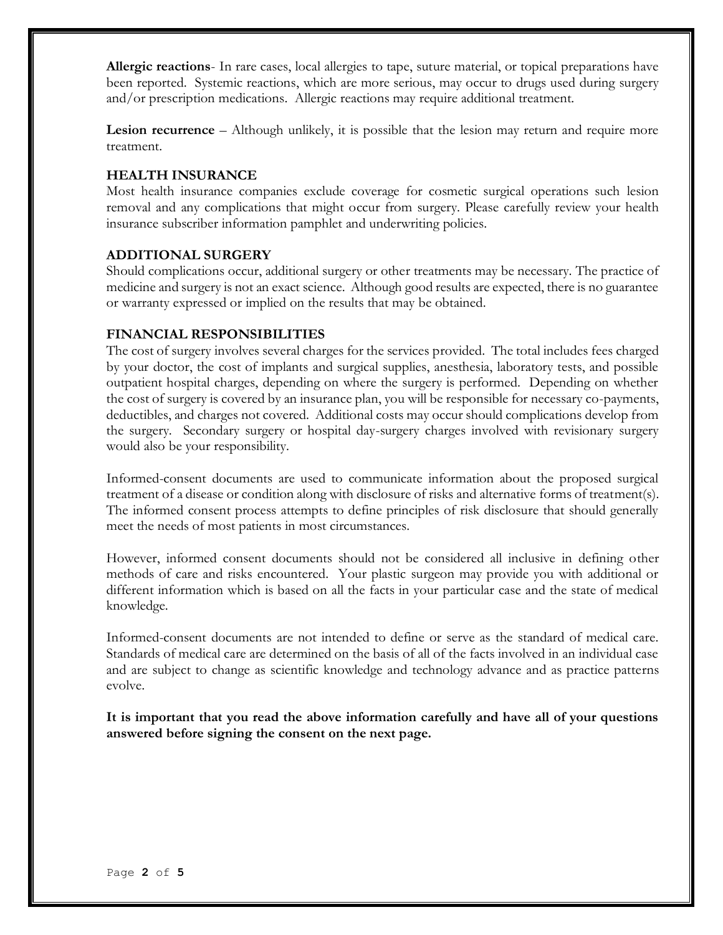**Allergic reactions**- In rare cases, local allergies to tape, suture material, or topical preparations have been reported. Systemic reactions, which are more serious, may occur to drugs used during surgery and/or prescription medications. Allergic reactions may require additional treatment.

**Lesion recurrence** – Although unlikely, it is possible that the lesion may return and require more treatment.

## **HEALTH INSURANCE**

Most health insurance companies exclude coverage for cosmetic surgical operations such lesion removal and any complications that might occur from surgery. Please carefully review your health insurance subscriber information pamphlet and underwriting policies.

#### **ADDITIONAL SURGERY**

Should complications occur, additional surgery or other treatments may be necessary. The practice of medicine and surgery is not an exact science. Although good results are expected, there is no guarantee or warranty expressed or implied on the results that may be obtained.

## **FINANCIAL RESPONSIBILITIES**

The cost of surgery involves several charges for the services provided. The total includes fees charged by your doctor, the cost of implants and surgical supplies, anesthesia, laboratory tests, and possible outpatient hospital charges, depending on where the surgery is performed. Depending on whether the cost of surgery is covered by an insurance plan, you will be responsible for necessary co-payments, deductibles, and charges not covered. Additional costs may occur should complications develop from the surgery. Secondary surgery or hospital day-surgery charges involved with revisionary surgery would also be your responsibility.

Informed-consent documents are used to communicate information about the proposed surgical treatment of a disease or condition along with disclosure of risks and alternative forms of treatment(s). The informed consent process attempts to define principles of risk disclosure that should generally meet the needs of most patients in most circumstances.

However, informed consent documents should not be considered all inclusive in defining other methods of care and risks encountered. Your plastic surgeon may provide you with additional or different information which is based on all the facts in your particular case and the state of medical knowledge.

Informed-consent documents are not intended to define or serve as the standard of medical care. Standards of medical care are determined on the basis of all of the facts involved in an individual case and are subject to change as scientific knowledge and technology advance and as practice patterns evolve.

**It is important that you read the above information carefully and have all of your questions answered before signing the consent on the next page.**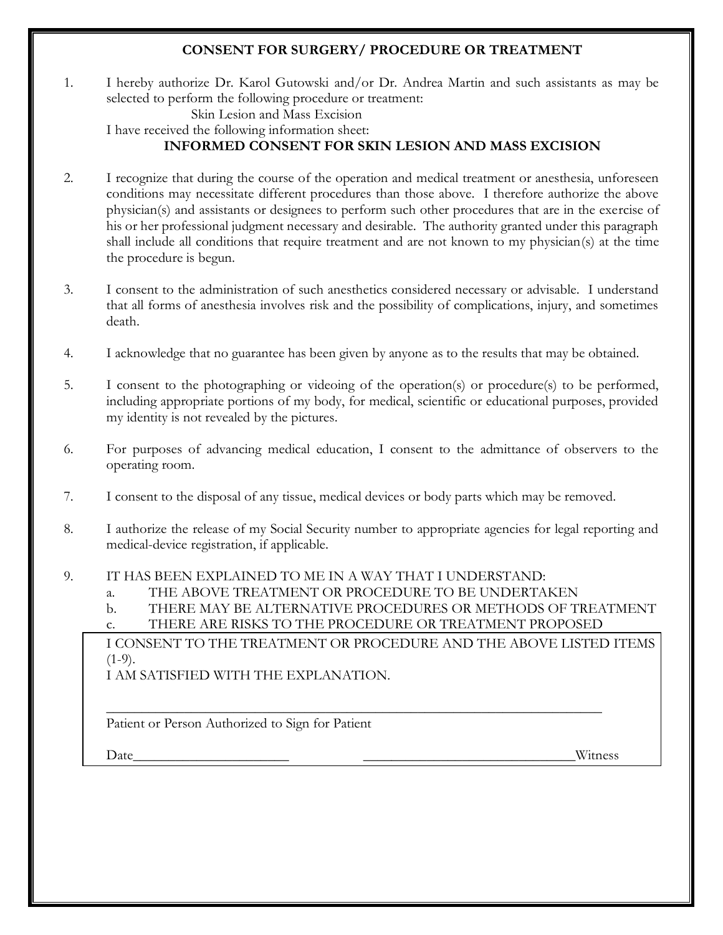# **CONSENT FOR SURGERY/ PROCEDURE OR TREATMENT**

1. I hereby authorize Dr. Karol Gutowski and/or Dr. Andrea Martin and such assistants as may be selected to perform the following procedure or treatment:

Skin Lesion and Mass Excision

I have received the following information sheet:

# **INFORMED CONSENT FOR SKIN LESION AND MASS EXCISION**

- 2. I recognize that during the course of the operation and medical treatment or anesthesia, unforeseen conditions may necessitate different procedures than those above. I therefore authorize the above physician(s) and assistants or designees to perform such other procedures that are in the exercise of his or her professional judgment necessary and desirable. The authority granted under this paragraph shall include all conditions that require treatment and are not known to my physician(s) at the time the procedure is begun.
- 3. I consent to the administration of such anesthetics considered necessary or advisable. I understand that all forms of anesthesia involves risk and the possibility of complications, injury, and sometimes death.
- 4. I acknowledge that no guarantee has been given by anyone as to the results that may be obtained.
- 5. I consent to the photographing or videoing of the operation(s) or procedure(s) to be performed, including appropriate portions of my body, for medical, scientific or educational purposes, provided my identity is not revealed by the pictures.
- 6. For purposes of advancing medical education, I consent to the admittance of observers to the operating room.
- 7. I consent to the disposal of any tissue, medical devices or body parts which may be removed.
- 8. I authorize the release of my Social Security number to appropriate agencies for legal reporting and medical-device registration, if applicable.
- 9. IT HAS BEEN EXPLAINED TO ME IN A WAY THAT I UNDERSTAND:
	- a. THE ABOVE TREATMENT OR PROCEDURE TO BE UNDERTAKEN
	- b. THERE MAY BE ALTERNATIVE PROCEDURES OR METHODS OF TREATMENT
	- c. THERE ARE RISKS TO THE PROCEDURE OR TREATMENT PROPOSED

\_\_\_\_\_\_\_\_\_\_\_\_\_\_\_\_\_\_\_\_\_\_\_\_\_\_\_\_\_\_\_\_\_\_\_\_\_\_\_\_\_\_\_\_\_\_\_\_\_\_\_\_\_\_\_\_\_\_\_\_\_\_\_\_\_\_\_\_\_\_

I CONSENT TO THE TREATMENT OR PROCEDURE AND THE ABOVE LISTED ITEMS  $(1-9)$ .

I AM SATISFIED WITH THE EXPLANATION.

Patient or Person Authorized to Sign for Patient

Date\_\_\_\_\_\_\_\_\_\_\_\_\_\_\_\_\_\_\_\_\_\_ \_\_\_\_\_\_\_\_\_\_\_\_\_\_\_\_\_\_\_\_\_\_\_\_\_\_\_\_\_\_Witness